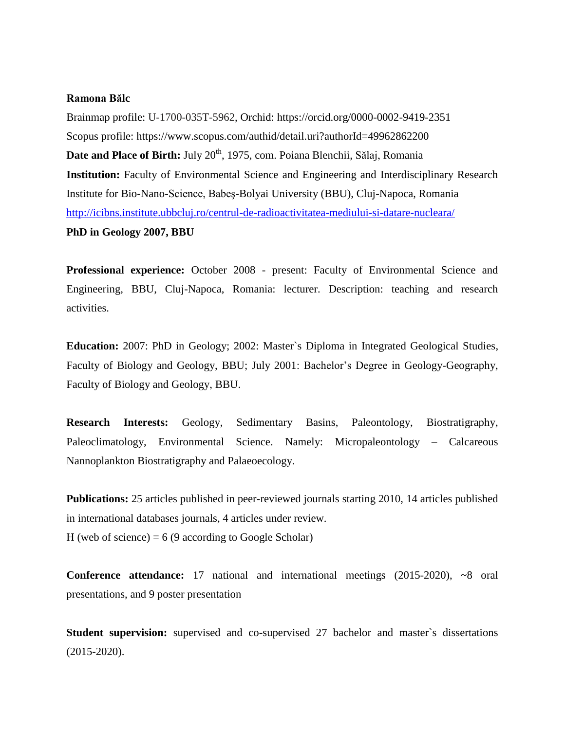# **Ramona Bălc**

Brainmap profile: U-1700-035T-5962, Orchid: https://orcid.org/0000-0002-9419-2351 Scopus profile: https://www.scopus.com/authid/detail.uri?authorId=49962862200 **Date and Place of Birth:** July 20<sup>th</sup>, 1975, com. Poiana Blenchii, Sălaj, Romania **Institution:** Faculty of Environmental Science and Engineering and Interdisciplinary Research Institute for Bio-Nano-Science, Babeş-Bolyai University (BBU), Cluj-Napoca, Romania <http://icibns.institute.ubbcluj.ro/centrul-de-radioactivitatea-mediului-si-datare-nucleara/> **PhD in Geology 2007, BBU**

**Professional experience:** October 2008 - present: Faculty of Environmental Science and Engineering, BBU, Cluj-Napoca, Romania: lecturer. Description: teaching and research activities.

**Education:** 2007: PhD in Geology; 2002: Master`s Diploma in Integrated Geological Studies, Faculty of Biology and Geology, BBU; July 2001: Bachelor's Degree in Geology-Geography, Faculty of Biology and Geology, BBU.

**Research Interests:** Geology, Sedimentary Basins, Paleontology, Biostratigraphy, Paleoclimatology, Environmental Science. Namely: Micropaleontology – Calcareous Nannoplankton Biostratigraphy and Palaeoecology.

**Publications:** 25 articles published in peer-reviewed journals starting 2010, 14 articles published in international databases journals, 4 articles under review. H (web of science) =  $6(9 \text{ according to Google Scholar})$ 

**Conference attendance:** 17 national and international meetings (2015-2020), ~8 oral presentations, and 9 poster presentation

**Student supervision:** supervised and co-supervised 27 bachelor and master's dissertations (2015-2020).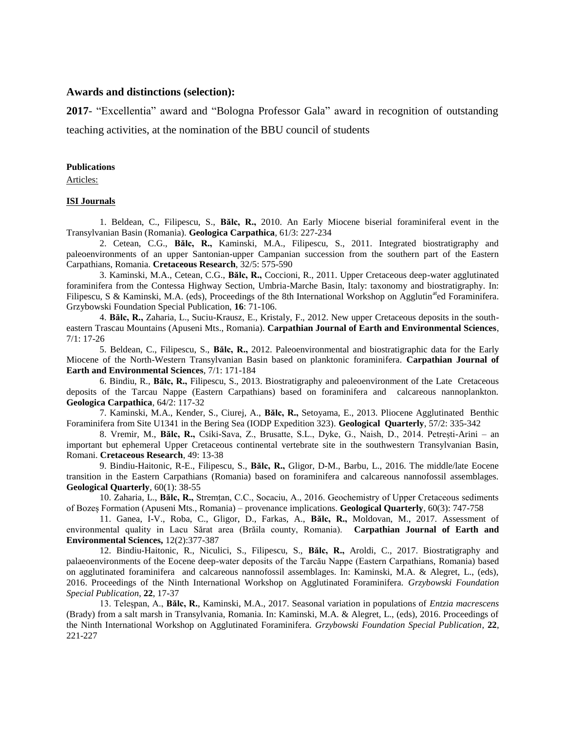## **Awards and distinctions (selection):**

**2017**- "Excellentia" award and "Bologna Professor Gala" award in recognition of outstanding teaching activities, at the nomination of the BBU council of students

### **Publications**

Articles:

### **ISI Journals**

1. Beldean, C., Filipescu, S., **Bălc, R.,** 2010. An Early Miocene biserial foraminiferal event in the Transylvanian Basin (Romania). **Geologica Carpathica**, 61/3: 227-234

2. Cetean, C.G., **Bălc, R.,** Kaminski, M.A., Filipescu, S., 2011. Integrated biostratigraphy and paleoenvironments of an upper Santonian-upper Campanian succession from the southern part of the Eastern Carpathians, Romania. **Cretaceous Research**, 32/5: 575-590

3. Kaminski, M.A., Cetean, C.G., **Bălc, R.,** Coccioni, R., 2011. Upper Cretaceous deep-water agglutinated foraminifera from the Contessa Highway Section, Umbria-Marche Basin, Italy: taxonomy and biostratigraphy. In: Filipescu, S & Kaminski, M.A. (eds), Proceedings of the 8th International Workshop on Agglutin<sup>at</sup>ed Foraminifera. Grzybowski Foundation Special Publication, **16**: 71-106.

4. **Bălc, R.,** Zaharia, L., Suciu-Krausz, E., Kristaly, F., 2012. New upper Cretaceous deposits in the southeastern Trascau Mountains (Apuseni Mts., Romania). **Carpathian Journal of Earth and Environmental Sciences**, 7/1: 17-26

5. Beldean, C., Filipescu, S., **Bălc, R.,** 2012. Paleoenvironmental and biostratigraphic data for the Early Miocene of the North-Western Transylvanian Basin based on planktonic foraminifera. **Carpathian Journal of Earth and Environmental Sciences**, 7/1: 171-184

6. Bindiu, R., **Bălc, R.,** Filipescu, S., 2013. Biostratigraphy and paleoenvironment of the Late Cretaceous deposits of the Tarcau Nappe (Eastern Carpathians) based on foraminifera and calcareous nannoplankton. **Geologica Carpathica**, 64/2: 117-32

7. Kaminski, M.A., Kender, S., Ciurej, A., **Bălc, R.,** Setoyama, E., 2013. Pliocene Agglutinated Benthic Foraminifera from Site U1341 in the Bering Sea (IODP Expedition 323). **Geological Quarterly**, 57/2: 335-342

8. Vremir, M., **Bălc, R.,** Csiki-Sava, Z., Brusatte, S.L., Dyke, G., Naish, D., 2014. Petrești-Arini – an important but ephemeral Upper Cretaceous continental vertebrate site in the southwestern Transylvanian Basin, Romani. **Cretaceous Research**, 49: 13-38

9. Bindiu-Haitonic, R-E., Filipescu, S., **Bălc, R.,** Gligor, D-M., Barbu, L., 2016. The middle/late Eocene transition in the Eastern Carpathians (Romania) based on foraminifera and calcareous nannofossil assemblages. **Geological Quarterly**, 60(1): 38-55

10. Zaharia, L., **Bălc, R.,** Stremțan, C.C., Socaciu, A., 2016. Geochemistry of Upper Cretaceous sediments of Bozeș Formation (Apuseni Mts., Romania) – provenance implications. **Geological Quarterly**, 60(3): 747-758

11. Ganea, I-V., Roba, C., Gligor, D., Farkas, A., **Bălc, R.,** Moldovan, M., 2017. Assessment of environmental quality in Lacu Sărat area (Brăila county, Romania). **Carpathian Journal of Earth and Environmental Sciences,** 12(2):377-387

12. Bindiu-Haitonic, R., Niculici, S., Filipescu, S., **Bălc, R.,** Aroldi, C., 2017. Biostratigraphy and palaeoenvironments of the Eocene deep-water deposits of the Tarcău Nappe (Eastern Carpathians, Romania) based on agglutinated foraminifera and calcareous nannofossil assemblages. In: Kaminski, M.A. & Alegret, L., (eds), 2016. Proceedings of the Ninth International Workshop on Agglutinated Foraminifera. *Grzybowski Foundation Special Publication*, **22**, 17-37

13. Teleșpan, A., **Bălc, R.**, Kaminski, M.A., 2017. Seasonal variation in populations of *Entzia macrescens* (Brady) from a salt marsh in Transylvania, Romania. In: Kaminski, M.A. & Alegret, L., (eds), 2016. Proceedings of the Ninth International Workshop on Agglutinated Foraminifera. *Grzybowski Foundation Special Publication*, **22**, 221-227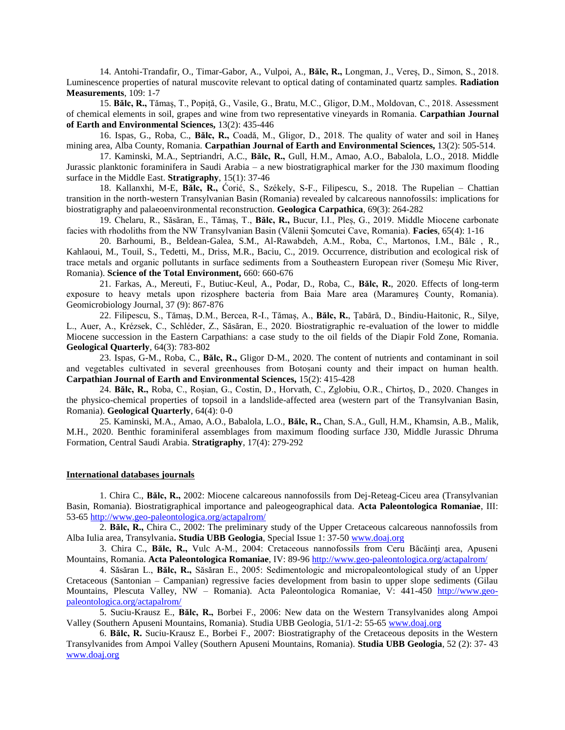14. Antohi-Trandafir, O., Timar-Gabor, A., Vulpoi, A., **Bălc, R.,** Longman, J., Vereș, D., Simon, S., 2018. Luminescence properties of natural muscovite relevant to optical dating of contaminated quartz samples. **Radiation Measurements**, 109: 1-7

15. **Bălc, R.,** Tămaș, T., Popiță, G., Vasile, G., Bratu, M.C., Gligor, D.M., Moldovan, C., 2018. Assessment of chemical elements in soil, grapes and wine from two representative vineyards in Romania. **Carpathian Journal of Earth and Environmental Sciences,** 13(2): 435-446

16. Ispas, G., Roba, C., **Bălc, R.,** Coadă, M., Gligor, D., 2018. The quality of water and soil in Haneș mining area, Alba County, Romania. **Carpathian Journal of Earth and Environmental Sciences,** 13(2): 505-514.

17. Kaminski, M.A., Septriandri, A.C., **Bălc, R.,** Gull, H.M., Amao, A.O., Babalola, L.O., 2018. Middle Jurassic planktonic foraminifera in Saudi Arabia – a new biostratigraphical marker for the J30 maximum flooding surface in the Middle East. **Stratigraphy**, 15(1): 37-46

18. Kallanxhi, M-E, **Bălc, R.,** Šoriš, S., Székely, S-F., Filipescu, S., 2018. The Rupelian – Chattian transition in the north-western Transylvanian Basin (Romania) revealed by calcareous nannofossils: implications for biostratigraphy and palaeoenvironmental reconstruction. **Geologica Carpathica**, 69(3): 264-282

19. Chelaru, R., Săsăran, E., Tămaș, T., **Bălc, R.,** Bucur, I.I., Pleș, G., 2019. Middle Miocene carbonate facies with rhodoliths from the NW Transylvanian Basin (Vălenii Șomcutei Cave, Romania). **Facies**, 65(4): 1-16

20. Barhoumi, B., Beldean-Galea, S.M., Al-Rawabdeh, A.M., Roba, C., Martonos, I.M., Bălc , R., Kahlaoui, M., Touil, S., Tedetti, M., Driss, M.R., Baciu, C., 2019. Occurrence, distribution and ecological risk of trace metals and organic pollutants in surface sediments from a Southeastern European river (Someşu Mic River, Romania). **Science of the Total Environment,** 660: 660-676

21. Farkas, A., Mereuti, F., Butiuc-Keul, A., Podar, D., Roba, C., **Bălc, R.**, 2020. Effects of long-term exposure to heavy metals upon rizosphere bacteria from Baia Mare area (Maramureș County, Romania). Geomicrobiology Journal, 37 (9): 867-876

22. Filipescu, S., Tămaș, D.M., Bercea, R-I., Tămaș, A., **Bălc, R.**, Țabără, D., Bindiu-Haitonic, R., Silye, L., Auer, A., Krézsek, C., Schléder, Z., Săsăran, E., 2020. Biostratigraphic re-evaluation of the lower to middle Miocene succession in the Eastern Carpathians: a case study to the oil fields of the Diapir Fold Zone, Romania. **Geological Quarterly**, 64(3): 783-802

23. Ispas, G-M., Roba, C., **Bălc, R.,** Gligor D-M., 2020. The content of nutrients and contaminant in soil and vegetables cultivated in several greenhouses from Botoșani county and their impact on human health. **Carpathian Journal of Earth and Environmental Sciences,** 15(2): 415-428

24. **Bălc, R.,** Roba, C., Roșian, G., Costin, D., Horvath, C., Zglobiu, O.R., Chirtoș, D., 2020. Changes in the physico-chemical properties of topsoil in a landslide-affected area (western part of the Transylvanian Basin, Romania). **Geological Quarterly**, 64(4): 0-0

25. Kaminski, M.A., Amao, A.O., Babalola, L.O., **Bălc, R.,** Chan, S.A., Gull, H.M., Khamsin, A.B., Malik, M.H., 2020. Benthic foraminiferal assemblages from maximum flooding surface J30, Middle Jurassic Dhruma Formation, Central Saudi Arabia. **Stratigraphy**, 17(4): 279-292

#### **International databases journals**

1. Chira C., **Bălc, R.,** 2002: Miocene calcareous nannofossils from Dej-Reteag-Ciceu area (Transylvanian Basin, Romania). Biostratigraphical importance and paleogeographical data. **Acta Paleontologica Romaniae**, III: 53-65<http://www.geo-paleontologica.org/actapalrom/>

2. **Bălc, R.,** Chira C., 2002: The preliminary study of the Upper Cretaceous calcareous nannofossils from Alba Iulia area, Transylvania**. Studia UBB Geologia**, Special Issue 1: 37-50 [www.doaj.org](http://scitation.aip.org/content/aip/proceeding/aipcp/1131?page=2)

3. Chira C., **Bălc, R.,** Vulc A-M., 2004: Cretaceous nannofossils from Ceru Băcăinţi area, Apuseni Mountains, Romania. **Acta Paleontologica Romaniae**, IV: 89-96<http://www.geo-paleontologica.org/actapalrom/>

4. Săsăran L., **Bălc, R.,** Săsăran E., 2005: Sedimentologic and micropaleontological study of an Upper Cretaceous (Santonian – Campanian) regressive facies development from basin to upper slope sediments (Gilau Mountains, Plescuta Valley, NW – Romania). Acta Paleontologica Romaniae, V: 441-450 [http://www.geo](http://www.geo-paleontologica.org/actapalrom/)[paleontologica.org/actapalrom/](http://www.geo-paleontologica.org/actapalrom/)

5. Suciu-Krausz E., **Bălc, R.,** Borbei F., 2006: New data on the Western Transylvanides along Ampoi Valley (Southern Apuseni Mountains, Romania). Studia UBB Geologia, 51/1-2: 55-65 [www.doaj.org](http://scitation.aip.org/content/aip/proceeding/aipcp/1131?page=2)

6. **Bălc, R.** Suciu-Krausz E., Borbei F., 2007: Biostratigraphy of the Cretaceous deposits in the Western Transylvanides from Ampoi Valley (Southern Apuseni Mountains, Romania). **Studia UBB Geologia**, 52 (2): 37- 43 [www.doaj.org](http://scitation.aip.org/content/aip/proceeding/aipcp/1131?page=2)